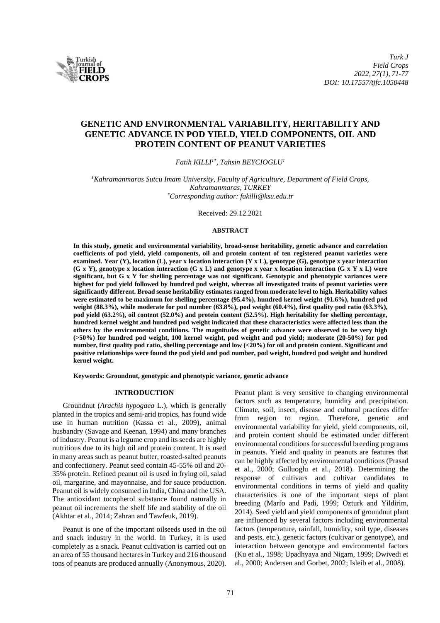

# **GENETIC AND ENVIRONMENTAL VARIABILITY, HERITABILITY AND GENETIC ADVANCE IN POD YIELD, YIELD COMPONENTS, OIL AND PROTEIN CONTENT OF PEANUT VARIETIES**

# *Fatih KILLI1\*, Tahsin BEYCIOGLU<sup>1</sup>*

*<sup>1</sup>Kahramanmaras Sutcu Imam University, Faculty of Agriculture, Department of Field Crops, Kahramanmaras, TURKEY \*Corresponding author: fakilli@ksu.edu.tr*

Received: 29.12.2021

#### **ABSTRACT**

**In this study, genetic and environmental variability, broad-sense heritability, genetic advance and correlation coefficients of pod yield, yield components, oil and protein content of ten registered peanut varieties were examined. Year (Y), location (L), year x location interaction (Y x L), genotype (G), genotype x year interaction (G x Y), genotype x location interaction (G x L) and genotype x year x location interaction (G x Y x L) were significant, but G x Y for shelling percentage was not significant. Genotypic and phenotypic variances were highest for pod yield followed by hundred pod weight, whereas all investigated traits of peanut varieties were significantly different. Broad sense heritability estimates ranged from moderate level to high. Heritability values were estimated to be maximum for shelling percentage (95.4%), hundred kernel weight (91.6%), hundred pod weight (88.3%), while moderate for pod number (63.8%), pod weight (60.4%), first quality pod ratio (63.3%), pod yield (63.2%), oil content (52.0%) and protein content (52.5%). High heritability for shelling percentage, hundred kernel weight and hundred pod weight indicated that these characteristics were affected less than the others by the environmental conditions. The magnitudes of genetic advance were observed to be very high (>50%) for hundred pod weight, 100 kernel weight, pod weight and pod yield; moderate (20-50%) for pod number, first quality pod ratio, shelling percentage and low (<20%) for oil and protein content. Significant and positive relationships were found the pod yield and pod number, pod weight, hundred pod weight and hundred kernel weight.**

**Keywords: Groundnut, genotypic and phenotypic variance, genetic advance**

# **INTRODUCTION**

Groundnut (*Arachis hypogaea* L.), which is generally planted in the tropics and semi-arid tropics, has found wide use in human nutrition (Kassa et al., 2009), animal husbandry (Savage and Keenan, 1994) and many branches of industry. Peanut is a legume crop and its seeds are highly nutritious due to its high oil and protein content. It is used in many areas such as peanut butter, roasted-salted peanuts and confectionery. Peanut seed contain 45-55% oil and 20- 35% protein. Refined peanut oil is used in frying oil, salad oil, margarine, and mayonnaise, and for sauce production. Peanut oil is widely consumed in India, China and the USA. The antioxidant tocopherol substance found naturally in peanut oil increments the shelf life and stability of the oil (Akhtar et al., 2014; Zahran and Tawfeuk, 2019).

Peanut is one of the important oilseeds used in the oil and snack industry in the world. In Turkey, it is used completely as a snack. Peanut cultivation is carried out on an area of 55 thousand hectares in Turkey and 216 thousand tons of peanuts are produced annually (Anonymous, 2020). Peanut plant is very sensitive to changing environmental factors such as temperature, humidity and precipitation. Climate, soil, insect, disease and cultural practices differ from region to region. Therefore, genetic and environmental variability for yield, yield components, oil, and protein content should be estimated under different environmental conditions for successful breeding programs in peanuts. Yield and quality in peanuts are features that can be highly affected by environmental conditions (Prasad et al., 2000; Gulluoglu et al., 2018). Determining the response of cultivars and cultivar candidates to environmental conditions in terms of yield and quality characteristics is one of the important steps of plant breeding (Marfo and Padi, 1999; Ozturk and Yildirim, 2014). Seed yield and yield components of groundnut plant are influenced by several factors including environmental factors (temperature, rainfall, humidity, soil type, diseases and pests, etc.), genetic factors (cultivar or genotype), and interaction between genotype and environmental factors (Ku et al., 1998; Upadhyaya and Nigam, 1999; Dwivedi et al., 2000; Andersen and Gorbet, 2002; Isleib et al., 2008).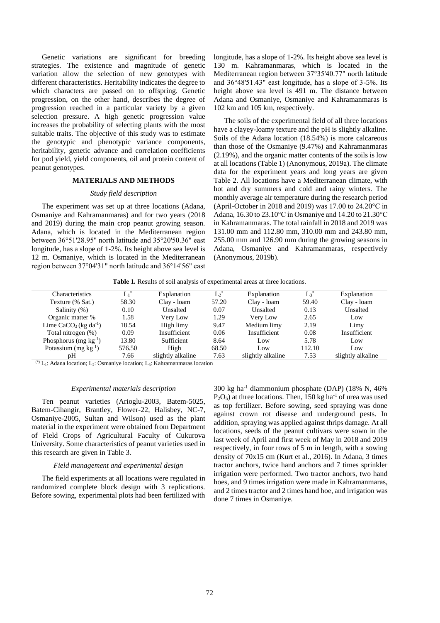Genetic variations are significant for breeding strategies. The existence and magnitude of genetic variation allow the selection of new genotypes with different characteristics. Heritability indicates the degree to which characters are passed on to offspring. Genetic progression, on the other hand, describes the degree of progression reached in a particular variety by a given selection pressure. A high genetic progression value increases the probability of selecting plants with the most suitable traits. The objective of this study was to estimate the genotypic and phenotypic variance components, heritability, genetic advance and correlation coefficients for pod yield, yield components, oil and protein content of peanut genotypes.

#### **MATERIALS AND METHODS**

#### *Study field description*

The experiment was set up at three locations (Adana, Osmaniye and Kahramanmaras) and for two years (2018 and 2019) during the main crop peanut growing season. Adana, which is located in the Mediterranean region between 36°51'28.95" north latitude and 35°20'50.36" east longitude, has a slope of 1-2%. Its height above sea level is 12 m. Osmaniye, which is located in the Mediterranean region between 37°04'31" north latitude and 36°14'56" east longitude, has a slope of 1-2%. Its height above sea level is 130 m. Kahramanmaras, which is located in the Mediterranean region between 37°35'40.77" north latitude and 36°48'51.43" east longitude, has a slope of 3-5%. Its height above sea level is 491 m. The distance between Adana and Osmaniye, Osmaniye and Kahramanmaras is 102 km and 105 km, respectively.

The soils of the experimental field of all three locations have a clayey-loamy texture and the pH is slightly alkaline. Soils of the Adana location (18.54%) is more calcareous than those of the Osmaniye (9.47%) and Kahramanmaras (2.19%), and the organic matter contents of the soils is low at all locations (Table 1) (Anonymous, 2019a). The climate data for the experiment years and long years are given Table 2. All locations have a Mediterranean climate, with hot and dry summers and cold and rainy winters. The monthly average air temperature during the research period (April-October in 2018 and 2019) was 17.00 to 24.20°C in Adana, 16.30 to 23.10°C in Osmaniye and 14.20 to 21.30°C in Kahramanmaras. The total rainfall in 2018 and 2019 was 131.00 mm and 112.80 mm, 310.00 mm and 243.80 mm, 255.00 mm and 126.90 mm during the growing seasons in Adana, Osmaniye and Kahramanmaras, respectively (Anonymous, 2019b).

**Table 1***.* Results of soil analysis of experimental areas at three locations.

| Characteristics                                                                                                             | $\mathrm{L_1}^\ast$ | Explanation       | $\mathrm{L}_{2}^{*}$ | Explanation       | $L_3^*$ | Explanation       |  |
|-----------------------------------------------------------------------------------------------------------------------------|---------------------|-------------------|----------------------|-------------------|---------|-------------------|--|
| Texture (% Sat.)                                                                                                            | 58.30               | Clay - loam       | 57.20                | Clay - loam       | 59.40   | Clay - loam       |  |
| Salinity (%)                                                                                                                | 0.10                | Unsalted          | 0.07                 | Unsalted          | 0.13    | Unsalted          |  |
| Organic matter %                                                                                                            | 1.58                | Very Low          | 1.29                 | Very Low          | 2.65    | Low               |  |
| Lime $CaCO3$ (kg da <sup>-1</sup> )                                                                                         | 18.54               | High limy         | 9.47                 | Medium limy       | 2.19    | Limy              |  |
| Total nitrogen (%)                                                                                                          | 0.09                | Insufficient      | 0.06                 | Insufficient      | 0.08    | Insufficient      |  |
| Phosphorus (mg $kg^{-1}$ )                                                                                                  | 13.80               | Sufficient        | 8.64                 | Low               | 5.78    | Low               |  |
| Potassium (mg $kg^{-1}$ )                                                                                                   | 576.50              | High              | 68.50                | Low               | 112.10  | Low               |  |
| pΗ                                                                                                                          | 7.66                | slightly alkaline | 7.63                 | slightly alkaline | 7.53    | slightly alkaline |  |
| <sup>(*)</sup> L <sub>1</sub> : Adana location; L <sub>2</sub> : Osmaniye location; L <sub>3</sub> : Kahramanmaras location |                     |                   |                      |                   |         |                   |  |

#### *Experimental materials description*

Ten peanut varieties (Arioglu-2003, Batem-5025, Batem-Cihangir, Brantley, Flower-22, Halisbey, NC-7, Osmaniye-2005, Sultan and Wilson) used as the plant material in the experiment were obtained from Department of Field Crops of Agricultural Faculty of Cukurova University. Some characteristics of peanut varieties used in this research are given in Table 3.

#### *Field management and experimental design*

The field experiments at all locations were regulated in randomized complete block design with 3 replications. Before sowing, experimental plots had been fertilized with 300 kg ha-1 diammonium phosphate (DAP) (18% N, 46%  $P_2O_5$ ) at three locations. Then, 150 kg ha<sup>-1</sup> of urea was used as top fertilizer. Before sowing, seed spraying was done against crown rot disease and underground pests. In addition, spraying was applied against thrips damage. At all locations, seeds of the peanut cultivars were sown in the last week of April and first week of May in 2018 and 2019 respectively, in four rows of 5 m in length, with a sowing density of 70x15 cm (Kurt et al., 2016). In Adana, 3 times tractor anchors, twice hand anchors and 7 times sprinkler irrigation were performed. Two tractor anchors, two hand hoes, and 9 times irrigation were made in Kahramanmaras, and 2 times tractor and 2 times hand hoe, and irrigation was done 7 times in Osmaniye.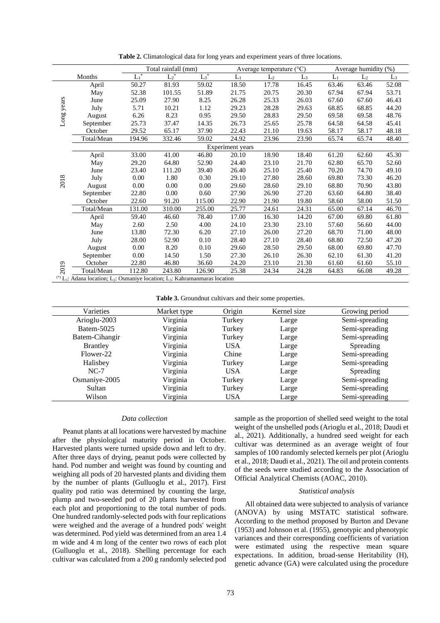|            |            |               | Total rainfall (mm) |         |                         | Average temperature (°C) |       | Average humidity (%) |                                                                                                                             |       |  |  |  |  |  |  |  |  |
|------------|------------|---------------|---------------------|---------|-------------------------|--------------------------|-------|----------------------|-----------------------------------------------------------------------------------------------------------------------------|-------|--|--|--|--|--|--|--|--|
|            | Months     | $\text{Li}^*$ | $L_2^*$             | $L_3^*$ | $L_1$                   | L <sub>2</sub>           | $L_3$ | $L_1$                | L <sub>2</sub>                                                                                                              | $L_3$ |  |  |  |  |  |  |  |  |
| Long years | April      | 50.27         | 81.93               | 59.02   | 18.50                   | 17.78                    | 16.45 | 63.46                | 63.46                                                                                                                       | 52.08 |  |  |  |  |  |  |  |  |
|            | May        | 52.38         | 101.55              | 51.89   | 21.75                   | 20.75                    | 20.30 | 67.94                | 67.94                                                                                                                       | 53.71 |  |  |  |  |  |  |  |  |
|            | June       | 25.09         | 27.90               | 8.25    | 26.28                   | 25.33                    | 26.03 | 67.60                | 67.60                                                                                                                       | 46.43 |  |  |  |  |  |  |  |  |
|            | July       | 5.71          | 10.21               | 1.12    | 29.23                   | 28.28                    | 29.63 | 68.85                | 68.85                                                                                                                       | 44.20 |  |  |  |  |  |  |  |  |
|            | August     | 6.26          | 8.23                | 0.95    | 29.50                   | 28.83                    | 29.50 | 69.58                | 69.58                                                                                                                       | 48.76 |  |  |  |  |  |  |  |  |
|            | September  | 25.73         | 37.47               | 14.35   | 26.73                   | 25.65                    | 25.78 | 64.58                | 64.58                                                                                                                       | 45.41 |  |  |  |  |  |  |  |  |
|            | October    | 29.52         | 65.17               | 37.90   | 22.43                   | 21.10                    | 19.63 | 58.17                | 58.17                                                                                                                       | 48.18 |  |  |  |  |  |  |  |  |
|            | Total/Mean | 194.96        | 332.46              | 59.02   | 24.92                   | 23.96                    | 23.90 | 65.74                | 65.74                                                                                                                       | 48.40 |  |  |  |  |  |  |  |  |
|            |            |               |                     |         | <b>Experiment</b> years |                          |       |                      |                                                                                                                             |       |  |  |  |  |  |  |  |  |
|            | April      | 33.00         | 41.00               | 46.80   | 20.10                   | 18.90                    | 18.40 | 61.20                | 62.60                                                                                                                       | 45.30 |  |  |  |  |  |  |  |  |
|            | May        | 29.20         | 64.80               | 52.90   | 24.40                   | 23.10                    | 21.70 | 62.80                | 65.70                                                                                                                       | 52.60 |  |  |  |  |  |  |  |  |
|            | June       | 23.40         | 111.20              | 39.40   | 26.40                   | 25.10                    | 25.40 | 70.20                | 74.70                                                                                                                       | 49.10 |  |  |  |  |  |  |  |  |
| 2018       | July       | 0.00          | 1.80                | 0.30    | 29.10                   | 27.80                    | 28.60 | 69.80                | 73.30                                                                                                                       | 46.20 |  |  |  |  |  |  |  |  |
|            | August     | 0.00          | 0.00                | 0.00    | 29.60                   | 28.60                    | 29.10 | 68.80                | 70.90                                                                                                                       | 43.80 |  |  |  |  |  |  |  |  |
|            | September  | 22.80         | 0.00                | 0.60    | 27.90                   | 26.90                    | 27.20 | 63.60                | 64.80                                                                                                                       | 38.40 |  |  |  |  |  |  |  |  |
|            | October    | 22.60         | 91.20               | 115.00  | 22.90                   | 21.90                    | 19.80 | 58.60                | 58.00                                                                                                                       | 51.50 |  |  |  |  |  |  |  |  |
|            | Total/Mean | 131.00        | 310.00              | 255.00  | 25.77                   | 24.61                    | 24.31 | 65.00                | 67.14                                                                                                                       | 46.70 |  |  |  |  |  |  |  |  |
|            | April      | 59.40         | 46.60               | 78.40   | 17.00                   | 16.30                    | 14.20 | 67.00                | 69.80                                                                                                                       | 61.80 |  |  |  |  |  |  |  |  |
|            | May        | 2.60          | 2.50                | 4.00    | 24.10                   | 23.30                    | 23.10 | 57.60                | 56.60                                                                                                                       | 44.00 |  |  |  |  |  |  |  |  |
|            | June       | 13.80         | 72.30               | 6.20    | 27.10                   | 26.00                    | 27.20 | 68.70                | 71.00                                                                                                                       | 48.00 |  |  |  |  |  |  |  |  |
|            | July       | 28.00         | 52.90               | 0.10    | 28.40                   | 27.10                    | 28.40 | 68.80                | 72.50                                                                                                                       | 47.20 |  |  |  |  |  |  |  |  |
|            | August     | 0.00          | 8.20                | 0.10    | 29.60                   | 28.50                    | 29.50 | 68.00                | 69.80                                                                                                                       | 47.70 |  |  |  |  |  |  |  |  |
|            | September  | 0.00          | 14.50               | 1.50    | 27.30                   | 26.10                    | 26.30 | 62.10                | 61.30                                                                                                                       | 41.20 |  |  |  |  |  |  |  |  |
|            | October    | 22.80         | 46.80               | 36.60   | 24.20                   | 23.10                    | 21.30 | 61.60                | 61.60                                                                                                                       | 55.10 |  |  |  |  |  |  |  |  |
| 2019       | Total/Mean | 112.80        | 243.80              | 126.90  | 25.38                   | 24.34                    | 24.28 | 64.83                | 66.08                                                                                                                       | 49.28 |  |  |  |  |  |  |  |  |
|            |            |               |                     |         |                         |                          |       |                      | <sup>(*)</sup> L <sub>1</sub> : Adana location; L <sub>2</sub> : Osmaniye location; L <sub>3</sub> : Kahramanmaras location |       |  |  |  |  |  |  |  |  |

**Table 2.** Climatological data for long years and experiment years of three locations.

**Table 3.** Groundnut cultivars and their some properties.

| Varieties       | Market type | Origin     | Kernel size | Growing period |
|-----------------|-------------|------------|-------------|----------------|
| Arioglu-2003    | Virginia    | Turkey     | Large       | Semi-spreading |
| Batem-5025      | Virginia    | Turkey     | Large       | Semi-spreading |
| Batem-Cihangir  | Virginia    | Turkey     | Large       | Semi-spreading |
| <b>Brantley</b> | Virginia    | <b>USA</b> | Large       | Spreading      |
| Flower-22       | Virginia    | Chine      | Large       | Semi-spreading |
| Halisbey        | Virginia    | Turkey     | Large       | Semi-spreading |
| $NC-7$          | Virginia    | <b>USA</b> | Large       | Spreading      |
| Osmaniye-2005   | Virginia    | Turkey     | Large       | Semi-spreading |
| Sultan          | Virginia    | Turkey     | Large       | Semi-spreading |
| Wilson          | Virginia    | <b>USA</b> | Large       | Semi-spreading |

### *Data collection*

Peanut plants at all locations were harvested by machine after the physiological maturity period in October. Harvested plants were turned upside down and left to dry. After three days of drying, peanut pods were collected by hand. Pod number and weight was found by counting and weighing all pods of 20 harvested plants and dividing them by the number of plants (Gulluoglu et al., 2017). First quality pod ratio was determined by counting the large, plump and two-seeded pod of 20 plants harvested from each plot and proportioning to the total number of pods. One hundred randomly-selected pods with four replications were weighed and the average of a hundred pods' weight was determined. Pod yield was determined from an area 1.4 m wide and 4 m long of the center two rows of each plot (Gulluoglu et al., 2018). Shelling percentage for each cultivar was calculated from a 200 g randomly selected pod sample as the proportion of shelled seed weight to the total weight of the unshelled pods (Arioglu et al., 2018; Daudi et al., 2021). Additionally, a hundred seed weight for each cultivar was determined as an average weight of four samples of 100 randomly selected kernels per plot (Arioglu et al., 2018; Daudi et al., 2021). The oil and protein contents of the seeds were studied according to the Association of Official Analytical Chemists (AOAC, 2010).

#### *Statistical analysis*

All obtained data were subjected to analysis of variance (ANOVA) by using MSTATC statistical software. According to the method proposed by Burton and Devane (1953) and Johnson et al. (1955), genotypic and phenotypic variances and their corresponding coefficients of variation were estimated using the respective mean square expectations. In addition, broad-sense Heritability (H), genetic advance (GA) were calculated using the procedure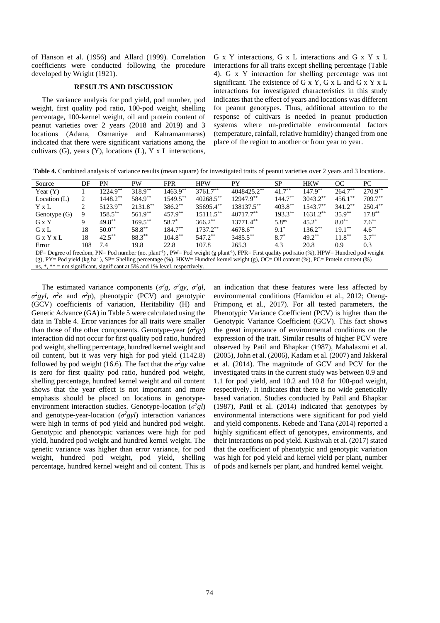of Hanson et al. (1956) and Allard (1999). Correlation coefficients were conducted following the procedure developed by Wright (1921).

# **RESULTS AND DISCUSSION**

The variance analysis for pod yield, pod number, pod weight, first quality pod ratio, 100-pod weight, shelling percentage, 100-kernel weight, oil and protein content of peanut varieties over 2 years (2018 and 2019) and 3 locations (Adana, Osmaniye and Kahramanmaras) indicated that there were significant variations among the cultivars  $(G)$ , years  $(Y)$ , locations  $(L)$ ,  $Y \times L$  interactions, G x Y interactions, G x L interactions and G x Y x L interactions for all traits except shelling percentage (Table 4). G x Y interaction for shelling percentage was not significant. The existence of  $G \times Y$ ,  $G \times L$  and  $G \times Y \times L$ interactions for investigated characteristics in this study indicates that the effect of years and locations was different for peanut genotypes. Thus, additional attention to the response of cultivars is needed in peanut production systems where un-predictable environmental factors (temperature, rainfall, relative humidity) changed from one place of the region to another or from year to year.

**Table 4.** Combined analysis of variance results (mean square) for investigated traits of peanut varieties over 2 years and 3 locations.

| Source                                                                                                                                                               | DF  | PN          | PW          | <b>FPR</b>  | <b>HPW</b>   | PY            | <b>SP</b>         | <b>HKW</b>  | OС         | PC         |
|----------------------------------------------------------------------------------------------------------------------------------------------------------------------|-----|-------------|-------------|-------------|--------------|---------------|-------------------|-------------|------------|------------|
| Year $(Y)$                                                                                                                                                           |     | $1224.9***$ | $318.9**$   | $1463.9**$  | 3761.7**     | 4048425.2**   | $41.7***$         | $147.9***$  | $264.7***$ | $270.9**$  |
| Location $(L)$                                                                                                                                                       |     | 1448.2**    | 584.9**     | $1549.5***$ | $40268.5***$ | $12947.9***$  | $144.7***$        | $3043.2**$  | $456.1***$ | $709.7**$  |
| Y x L                                                                                                                                                                |     | 5123.9**    | $2131.8***$ | $386.2**$   | $35695.4***$ | 138137.5**    | $403.8***$        | $1543.7**$  | $341.2***$ | $250.4***$ |
| Genotype $(G)$                                                                                                                                                       | 9   | $158.5***$  | $561.9***$  | $457.9**$   | $15111.5***$ | $40717.7***$  | $193.3***$        | $1631.2***$ | $35.9***$  | $17.8***$  |
| G x Y                                                                                                                                                                | 9   | $49.8***$   | $169.5***$  | 58.7*       | $366.2***$   | $13771.4***$  | 5.8 <sup>ns</sup> | $45.2^*$    | $8.0^{**}$ | $7.6***$   |
| G x L                                                                                                                                                                | 18  | $50.0^{**}$ | 58.8**      | $184.7***$  | $1737.2***$  | $4678.6^{**}$ | $9.1*$            | $136.2***$  | $19.1***$  | $4.6***$   |
| GxYxL                                                                                                                                                                | 18  | $42.5***$   | $88.3***$   | $104.8***$  | $547.2**$    | 3485.5**      | $8.7*$            | $49.2***$   | $11.8***$  | $3.7***$   |
| Error                                                                                                                                                                | 108 | 7.4         | 19.8        | 22.8        | 107.8        | 265.3         | 4.3               | 20.8        | 0.9        | 0.3        |
| DF= Degree of freedom, PN= Pod number (no. plant <sup>-1</sup> ), PW= Pod weight (g plant <sup>-1</sup> ), FPR= First quality pod ratio (%), HPW= Hundred pod weight |     |             |             |             |              |               |                   |             |            |            |

(g), PY= Pod yield (kg ha<sup>-1</sup>), SP= Shelling percentage (%), HKW= Hundred kernel weight (g), OC= Oil content (%), PC= Protein content (%) ns, \*, \*\* = not significant, significant at 5% and 1% level, respectively.

The estimated variance components  $(\sigma^2 g, \sigma^2 g y, \sigma^2 g l,$  $\sigma^2 g$ yl,  $\sigma^2 e$  and  $\sigma^2 p$ ), phenotypic (PCV) and genotypic (GCV) coefficients of variation, Heritability (H) and Genetic Advance (GA) in Table 5 were calculated using the data in Table 4. Error variances for all traits were smaller than those of the other components. Genotype-year  $(\sigma^2 gy)$ interaction did not occur for first quality pod ratio, hundred pod weight, shelling percentage, hundred kernel weight and oil content, but it was very high for pod yield (1142.8) followed by pod weight (16.6). The fact that the  $\sigma^2 gy$  value is zero for first quality pod ratio, hundred pod weight, shelling percentage, hundred kernel weight and oil content shows that the year effect is not important and more emphasis should be placed on locations in genotypeenvironment interaction studies. Genotype-location  $(\sigma^2 g l)$ and genotype-year-location  $(\sigma^2 gyl)$  interaction variances were high in terms of pod yield and hundred pod weight. Genotypic and phenotypic variances were high for pod yield, hundred pod weight and hundred kernel weight. The genetic variance was higher than error variance, for pod weight, hundred pod weight, pod yield, shelling percentage, hundred kernel weight and oil content. This is

an indication that these features were less affected by environmental conditions (Hamidou et al., 2012; Oteng-Frimpong et al., 2017). For all tested parameters, the Phenotypic Variance Coefficient (PCV) is higher than the Genotypic Variance Coefficient (GCV). This fact shows the great importance of environmental conditions on the expression of the trait. Similar results of higher PCV were observed by Patil and Bhapkar (1987), Mahalaxmi et al. (2005), John et al. (2006), Kadam et al. (2007) and Jakkeral et al. (2014). The magnitude of GCV and PCV for the investigated traits in the current study was between 0.9 and 1.1 for pod yield, and 10.2 and 10.8 for 100-pod weight, respectively. It indicates that there is no wide genetically based variation. Studies conducted by Patil and Bhapkar (1987), Patil et al. (2014) indicated that genotypes by environmental interactions were significant for pod yield and yield components. Kebede and Tana (2014) reported a highly significant effect of genotypes, environments, and their interactions on pod yield. Kushwah et al. (2017) stated that the coefficient of phenotypic and genotypic variation was high for pod yield and kernel yield per plant, number of pods and kernels per plant, and hundred kernel weight.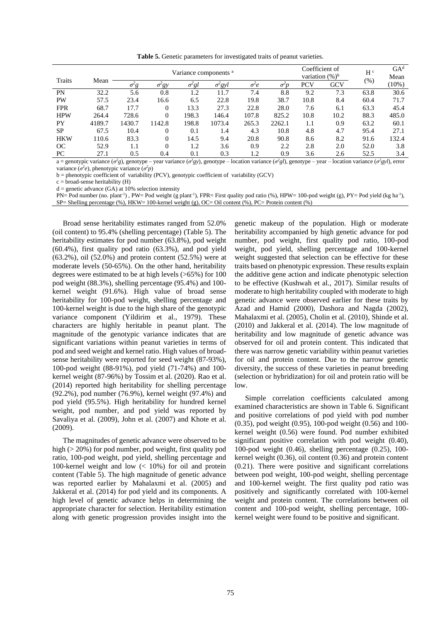**Table 5.** Genetic parameters for investigated traits of peanut varieties.

|            |        | Variance components <sup>a</sup> |                          |                          |                           |              |                           |            | Coefficient of | H <sup>c</sup> | GA <sup>d</sup> |
|------------|--------|----------------------------------|--------------------------|--------------------------|---------------------------|--------------|---------------------------|------------|----------------|----------------|-----------------|
| Traits     | Mean   |                                  |                          |                          |                           |              |                           |            |                |                | Mean            |
|            |        | $\sigma$ g                       | $\sigma$ <sup>2</sup> gy | $\sigma$ <sup>2</sup> gl | $\sigma$ <sup>2</sup> gyl | $\sigma^2 e$ | $\sigma$ <sup>-</sup> $p$ | <b>PCV</b> | GCV            | $(\%)$         | $(10\%)$        |
| PN         | 32.2   | 5.6                              | 0.8                      | 1.2                      | 11.7                      | 7.4          | 8.8                       | 9.2        | 7.3            | 63.8           | 30.6            |
| PW         | 57.5   | 23.4                             | 16.6                     | 6.5                      | 22.8                      | 19.8         | 38.7                      | 10.8       | 8.4            | 60.4           | 71.7            |
| <b>FPR</b> | 68.7   | 17.7                             | 0                        | 13.3                     | 27.3                      | 22.8         | 28.0                      | 7.6        | 6.1            | 63.3           | 45.4            |
| <b>HPW</b> | 264.4  | 728.6                            | 0                        | 198.3                    | 146.4                     | 107.8        | 825.2                     | 10.8       | 10.2           | 88.3           | 485.0           |
| PY         | 4189.7 | 1430.7                           | 1142.8                   | 198.8                    | 1073.4                    | 265.3        | 2262.1                    | 1.1        | 0.9            | 63.2           | 60.1            |
| <b>SP</b>  | 67.5   | 10.4                             | $\overline{0}$           | 0.1                      | 1.4                       | 4.3          | 10.8                      | 4.8        | 4.7            | 95.4           | 27.1            |
| <b>HKW</b> | 110.6  | 83.3                             | 0                        | 14.5                     | 9.4                       | 20.8         | 90.8                      | 8.6        | 8.2            | 91.6           | 132.4           |
| OC         | 52.9   | 1.1                              | 0                        | 1.2                      | 3.6                       | 0.9          | 2.2                       | 2.8        | 2.0            | 52.0           | 3.8             |
| PC         | 27.1   | 0.5                              | 0.4                      | 0.1                      | 0.3                       | 1.2          | 0.9                       | 3.6        | 2.6            | 52.5           | 3.4             |

a = genotypic variance  $(\sigma^2 g)$ , genotype – year variance  $(\sigma^2 g)$ , genotype – location variance  $(\sigma^2 g)$ , genotype – year – location variance  $(\sigma^2 g)$ , error variance ( $\sigma^2 e$ ), phenotypic variance ( $\sigma^2 p$ )

 $b =$  phenotypic coefficient of variability (PCV), genotypic coefficient of variability (GCV)

c = broad-sense heritability (H)

 $d =$  genetic advance (GA) at 10% selection intensity

PN= Pod number (no. plant<sup>-1</sup>), PW= Pod weight (g plant<sup>-1</sup>), FPR= First quality pod ratio (%), HPW= 100-pod weight (g), PY= Pod yield (kg ha<sup>-1</sup>), SP= Shelling percentage (%), HKW= 100-kernel weight (g), OC= Oil content (%), PC= Protein content (%)

Broad sense heritability estimates ranged from 52.0% (oil content) to 95.4% (shelling percentage) (Table 5). The heritability estimates for pod number (63.8%), pod weight (60.4%), first quality pod ratio (63.3%), and pod yield  $(63.2\%)$ , oil  $(52.0\%)$  and protein content  $(52.5\%)$  were at moderate levels (50-65%). On the other hand, heritability degrees were estimated to be at high levels (>65%) for 100 pod weight (88.3%), shelling percentage (95.4%) and 100 kernel weight (91.6%). High value of broad sense heritability for 100-pod weight, shelling percentage and 100-kernel weight is due to the high share of the genotypic variance component (Yildirim et al., 1979). These characters are highly heritable in peanut plant. The magnitude of the genotypic variance indicates that are significant variations within peanut varieties in terms of pod and seed weight and kernel ratio. High values of broadsense heritability were reported for seed weight (87-93%), 100-pod weight (88-91%), pod yield (71-74%) and 100 kernel weight (87-96%) by Tossim et al. (2020). Rao et al. (2014) reported high heritability for shelling percentage (92.2%), pod number (76.9%), kernel weight (97.4%) and pod yield (95.5%). High heritability for hundred kernel weight, pod number, and pod yield was reported by Savaliya et al. (2009), John et al. (2007) and Khote et al. (2009).

The magnitudes of genetic advance were observed to be high (> 20%) for pod number, pod weight, first quality pod ratio, 100-pod weight, pod yield, shelling percentage and 100-kernel weight and low (< 10%) for oil and protein content (Table 5). The high magnitude of genetic advance was reported earlier by Mahalaxmi et al. (2005) and Jakkeral et al. (2014) for pod yield and its components. A high level of genetic advance helps in determining the appropriate character for selection. Heritability estimation along with genetic progression provides insight into the genetic makeup of the population. High or moderate heritability accompanied by high genetic advance for pod number, pod weight, first quality pod ratio, 100-pod weight, pod yield, shelling percentage and 100-kernel weight suggested that selection can be effective for these traits based on phenotypic expression. These results explain the additive gene action and indicate phenotypic selection to be effective (Kushwah et al., 2017). Similar results of moderate to high heritability coupled with moderate to high genetic advance were observed earlier for these traits by Azad and Hamid (2000), Dashora and Nagda (2002), Mahalaxmi et al. (2005), Cholin et al. (2010), Shinde et al. (2010) and Jakkeral et al. (2014). The low magnitude of heritability and low magnitude of genetic advance was observed for oil and protein content. This indicated that there was narrow genetic variability within peanut varieties for oil and protein content. Due to the narrow genetic diversity, the success of these varieties in peanut breeding (selection or hybridization) for oil and protein ratio will be low.

Simple correlation coefficients calculated among examined characteristics are shown in Table 6. Significant and positive correlations of pod yield with pod number (0.35), pod weight (0.95), 100-pod weight (0.56) and 100 kernel weight (0.56) were found. Pod number exhibited significant positive correlation with pod weight (0.40), 100-pod weight (0.46), shelling percentage (0.25), 100 kernel weight (0.36), oil content (0.36) and protein content (0.21). There were positive and significant correlations between pod weight, 100-pod weight, shelling percentage and 100-kernel weight. The first quality pod ratio was positively and significantly correlated with 100-kernel weight and protein content. The correlations between oil content and 100-pod weight, shelling percentage, 100 kernel weight were found to be positive and significant.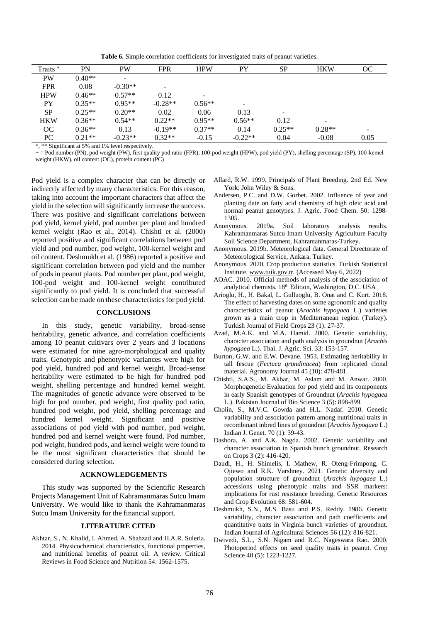**Table 6.** Simple correlation coefficients for investigated traits of peanut varieties.

| Traits <sup>+</sup> | PN       | PW                       | <b>FPR</b> | <b>HPW</b> | PY        | <b>SP</b> | <b>HKW</b>               | <sub>OC</sub> |
|---------------------|----------|--------------------------|------------|------------|-----------|-----------|--------------------------|---------------|
| <b>PW</b>           | $0.40**$ | $\overline{\phantom{a}}$ |            |            |           |           |                          |               |
| <b>FPR</b>          | 0.08     | $-0.30**$                |            |            |           |           |                          |               |
| <b>HPW</b>          | $0.46**$ | $0.57**$                 | 0.12       |            |           |           |                          |               |
| PY                  | $0.35**$ | $0.95**$                 | $-0.28**$  | $0.56**$   | -         |           |                          |               |
| <b>SP</b>           | $0.25**$ | $0.20**$                 | 0.02       | 0.06       | 0.13      |           |                          |               |
| <b>HKW</b>          | $0.36**$ | $0.54**$                 | $0.22**$   | $0.95**$   | $0.56**$  | 0.12      | $\overline{\phantom{0}}$ |               |
| OC                  | $0.36**$ | 0.13                     | $-0.19**$  | $0.37**$   | 0.14      | $0.25**$  | $0.28**$                 | -             |
| PC                  | $0.21**$ | $-0.23**$                | $0.32**$   | $-0.15$    | $-0.22**$ | 0.04      | $-0.08$                  | 0.05          |
|                     |          |                          |            |            |           |           |                          |               |

\*, \*\* Significant at 5% and 1% level respectively.

+ = Pod number (PN), pod weight (PW), first quality pod ratio (FPR), 100-pod weight (HPW), pod yield (PY), shelling percentage (SP), 100-kernel weight (HKW), oil content (OC), protein content (PC)

Pod yield is a complex character that can be directly or indirectly affected by many characteristics. For this reason, taking into account the important characters that affect the yield in the selection will significantly increase the success. There was positive and significant correlations between pod yield, kernel yield, pod number per plant and hundred kernel weight (Rao et al., 2014). Chishti et al. (2000) reported positive and significant correlations between pod yield and pod number, pod weight, 100-kernel weight and oil content. Deshmukh et al. (1986) reported a positive and significant correlation between pod yield and the number of pods in peanut plants. Pod number per plant, pod weight, 100-pod weight and 100-kernel weight contributed significantly to pod yield. It is concluded that successful selection can be made on these characteristics for pod yield.

# **CONCLUSIONS**

In this study, genetic variability, broad-sense heritability, genetic advance, and correlation coefficients among 10 peanut cultivars over 2 years and 3 locations were estimated for nine agro-morphological and quality traits. Genotypic and phenotypic variances were high for pod yield, hundred pod and kernel weight. Broad-sense heritability were estimated to be high for hundred pod weight, shelling percentage and hundred kernel weight. The magnitudes of genetic advance were observed to be high for pod number, pod weight, first quality pod ratio, hundred pod weight, pod yield, shelling percentage and hundred kernel weight. Significant and positive associations of pod yield with pod number, pod weight, hundred pod and kernel weight were found. Pod number, pod weight, hundred pods, and kernel weight were found to be the most significant characteristics that should be considered during selection.

# **ACKNOWLEDGEMENTS**

This study was supported by the Scientific Research Projects Management Unit of Kahramanmaras Sutcu Imam University. We would like to thank the Kahramanmaras Sutcu Imam University for the financial support.

# **LITERATURE CITED**

Akhtar, S., N. Khalid, I. Ahmed, A. Shahzad and H.A.R. Suleria. 2014. Physicochemical characteristics, functional properties, and nutritional benefits of peanut oil: A review. Critical Reviews in Food Science and Nutrition 54: 1562-1575.

- Allard, R.W. 1999. Principals of Plant Breeding. 2nd Ed. New York: John Wiley & Sons.
- Andersen, P.C. and D.W. Gorbet. 2002. Influence of year and planting date on fatty acid chemistry of high oleic acid and normal peanut genotypes. J. Agric. Food Chem. 50: 1298- 1305.
- Anonymous. 2019a. Soil laboratory analysis results. Kahramanmaras Sutcu Imam University Agriculture Faculty Soil Science Department, Kahramanmaras-Turkey.
- Anonymous. 2019b. Meteorological data. General Directorate of Meteorological Service, Ankara, Turkey.
- Anonymous. 2020. Crop production statistics. Turkish Statistical Institute[. www.tuik.gov.tr.](http://www.tuik.gov.tr/) (Accessed May 6, 2022)
- AOAC. 2010. Official methods of analysis of the association of analytical chemists. 18th Edition, Washington, D.C. USA
- Arioglu, H., H. Bakal, L. Gulluoglu, B. Onat and C. Kurt. 2018. The effect of harvesting dates on some agronomic and quality characteristics of peanut (*Arachis hypogaea* L.) varieties grown as a main crop in Mediterranean region (Turkey). Turkish Journal of Field Crops 23 (1): 27-37.
- Azad, M.A.K. and M.A. Hamid. 2000. Genetic variability, character association and path analysis in groundnut (*Arachis hypogaea* L.). Thai. J. Agric. Sci. 33: 153-157.
- Burton, G.W. and E.W. Devane. 1953. Estimating heritability in tall fescue (*Fectuca qrundinacea*) from replicated clonal material. Agronomy Journal 45 (10): 478-481.
- Chishti, S.A.S., M. Akbar, M. Aslam and M. Anwar. 2000. Morphogenetic Evaluation for pod yield and its components in early Spanish genotypes of Groundnut (*Arachis hypogaea* L.). Pakistan Journal of Bio Science 3 (5): 898-899.
- Cholin, S., M.V.C. Gowda and H.L. Nadaf. 2010. Genetic variability and association pattern among nutritional traits in recombinant inbred lines of groundnut (*Arachis hypogaea* L.) Indian J. Genet. 70 (1): 39-43.
- Dashora, A. and A.K. Nagda. 2002. Genetic variability and character association in Spanish bunch groundnut. Research on Crops 3 (2): 416-420.
- Daudi, H., H. Shimelis, I. Mathew, R. Oteng-Frimpong, C. Ojiewo and R.K. Varshney. 2021. Genetic diversity and population structure of groundnut (*Arachis hypogaea* L.) accessions using phenotypic traits and SSR markers: implications for rust resistance breeding. Genetic Resources and Crop Evolution 68: 581-604.
- Deshmukh, S.N., M.S. Basu and P.S. Reddy. 1986. Genetic variability, character association and path coefficients and quantitative traits in Virginia bunch varieties of groundnut. Indian Journal of Agricultural Sciences 56 (12): 816-821.
- Dwivedi, S.L., S.N. Nigam and R.C. Nageswara Rao. 2000. Photoperiod effects on seed quality traits in peanut. Crop Science 40 (5): 1223-1227.